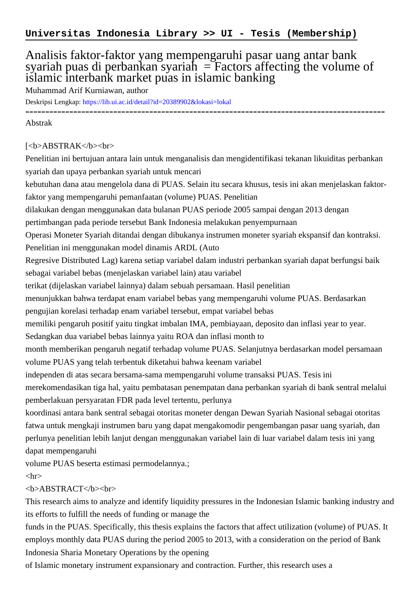# Analisis faktor-faktor yang mempengaruhi pasar uang antar bank syariah puas di perbankan syariah  $=$  Factors affecting the volume of islamic interbank market puas in islamic banking

Muhammad Arif Kurniawan, author

Deskripsi Lengkap:<https://lib.ui.ac.id/detail?id=20389902&lokasi=lokal>

------------------------------------------------------------------------------------------

#### Abstrak

### [<b>ABSTRAK</b><br>

Penelitian ini bertujuan antara lain untuk menganalisis dan mengidentifikasi tekanan likuiditas perbankan syariah dan upaya perbankan syariah untuk mencari

kebutuhan dana atau mengelola dana di PUAS. Selain itu secara khusus, tesis ini akan menjelaskan faktorfaktor yang mempengaruhi pemanfaatan (volume) PUAS. Penelitian

dilakukan dengan menggunakan data bulanan PUAS periode 2005 sampai dengan 2013 dengan

pertimbangan pada periode tersebut Bank Indonesia melakukan penyempurnaan

Operasi Moneter Syariah ditandai dengan dibukanya instrumen moneter syariah ekspansif dan kontraksi. Penelitian ini menggunakan model dinamis ARDL (Auto

Regresive Distributed Lag) karena setiap variabel dalam industri perbankan syariah dapat berfungsi baik sebagai variabel bebas (menjelaskan variabel lain) atau variabel

terikat (dijelaskan variabel lainnya) dalam sebuah persamaan. Hasil penelitian

menunjukkan bahwa terdapat enam variabel bebas yang mempengaruhi volume PUAS. Berdasarkan

pengujian korelasi terhadap enam variabel tersebut, empat variabel bebas

memiliki pengaruh positif yaitu tingkat imbalan IMA, pembiayaan, deposito dan inflasi year to year.

Sedangkan dua variabel bebas lainnya yaitu ROA dan inflasi month to

month memberikan pengaruh negatif terhadap volume PUAS. Selanjutnya berdasarkan model persamaan volume PUAS yang telah terbentuk diketahui bahwa keenam variabel

independen di atas secara bersama-sama mempengaruhi volume transaksi PUAS. Tesis ini

merekomendasikan tiga hal, yaitu pembatasan penempatan dana perbankan syariah di bank sentral melalui pemberlakuan persyaratan FDR pada level tertentu, perlunya

koordinasi antara bank sentral sebagai otoritas moneter dengan Dewan Syariah Nasional sebagai otoritas fatwa untuk mengkaji instrumen baru yang dapat mengakomodir pengembangan pasar uang syariah, dan perlunya penelitian lebih lanjut dengan menggunakan variabel lain di luar variabel dalam tesis ini yang dapat mempengaruhi

volume PUAS beserta estimasi permodelannya.;

### $\langle$ hr $>$

## <b>ABSTRACT</b><br>

This research aims to analyze and identify liquidity pressures in the Indonesian Islamic banking industry and its efforts to fulfill the needs of funding or manage the

funds in the PUAS. Specifically, this thesis explains the factors that affect utilization (volume) of PUAS. It employs monthly data PUAS during the period 2005 to 2013, with a consideration on the period of Bank Indonesia Sharia Monetary Operations by the opening

of Islamic monetary instrument expansionary and contraction. Further, this research uses a